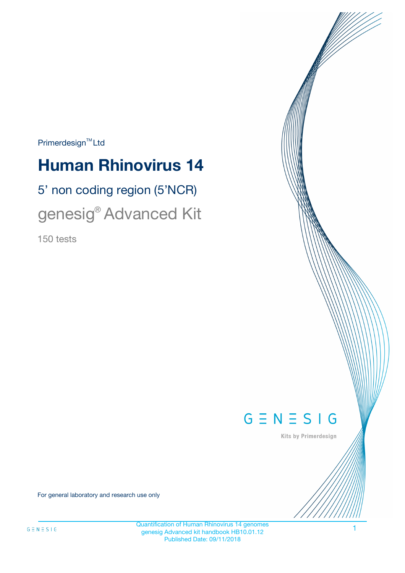$Primerdesign^{\text{TM}}Ltd$ 

# **Human Rhinovirus 14**

# 5' non coding region (5'NCR) genesig® Advanced Kit

150 tests



Kits by Primerdesign

For general laboratory and research use only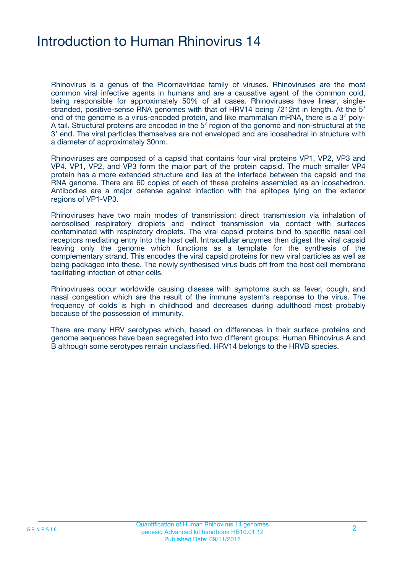# Introduction to Human Rhinovirus 14

Rhinovirus is a genus of the Picornaviridae family of viruses. Rhinoviruses are the most common viral infective agents in humans and are a causative agent of the common cold, being responsible for approximately 50% of all cases. Rhinoviruses have linear, singlestranded, positive-sense RNA genomes with that of HRV14 being 7212nt in length. At the 5' end of the genome is a virus-encoded protein, and like mammalian mRNA, there is a 3′ poly-A tail. Structural proteins are encoded in the 5′ region of the genome and non-structural at the 3' end. The viral particles themselves are not enveloped and are icosahedral in structure with a diameter of approximately 30nm.

Rhinoviruses are composed of a capsid that contains four viral proteins VP1, VP2, VP3 and VP4. VP1, VP2, and VP3 form the major part of the protein capsid. The much smaller VP4 protein has a more extended structure and lies at the interface between the capsid and the RNA genome. There are 60 copies of each of these proteins assembled as an icosahedron. Antibodies are a major defense against infection with the epitopes lying on the exterior regions of VP1-VP3.

Rhinoviruses have two main modes of transmission: direct transmission via inhalation of aerosolised respiratory droplets and indirect transmission via contact with surfaces contaminated with respiratory droplets. The viral capsid proteins bind to specific nasal cell receptors mediating entry into the host cell. Intracellular enzymes then digest the viral capsid leaving only the genome which functions as a template for the synthesis of the complementary strand. This encodes the viral capsid proteins for new viral particles as well as being packaged into these. The newly synthesised virus buds off from the host cell membrane facilitating infection of other cells.

Rhinoviruses occur worldwide causing disease with symptoms such as fever, cough, and nasal congestion which are the result of the immune system's response to the virus. The frequency of colds is high in childhood and decreases during adulthood most probably because of the possession of immunity.

There are many HRV serotypes which, based on differences in their surface proteins and genome sequences have been segregated into two different groups: Human Rhinovirus A and B although some serotypes remain unclassified. HRV14 belongs to the HRVB species.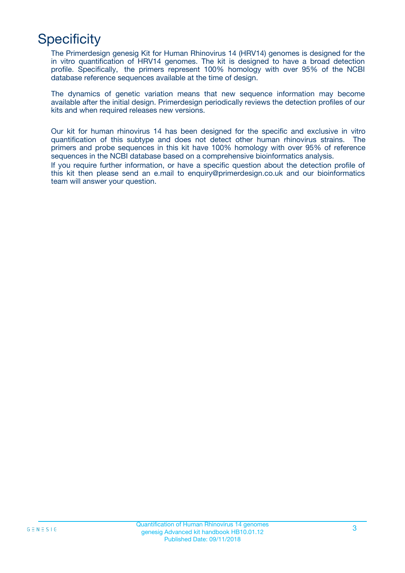# **Specificity**

The Primerdesign genesig Kit for Human Rhinovirus 14 (HRV14) genomes is designed for the in vitro quantification of HRV14 genomes. The kit is designed to have a broad detection profile. Specifically, the primers represent 100% homology with over 95% of the NCBI database reference sequences available at the time of design.

The dynamics of genetic variation means that new sequence information may become available after the initial design. Primerdesign periodically reviews the detection profiles of our kits and when required releases new versions.

Our kit for human rhinovirus 14 has been designed for the specific and exclusive in vitro quantification of this subtype and does not detect other human rhinovirus strains. The primers and probe sequences in this kit have 100% homology with over 95% of reference sequences in the NCBI database based on a comprehensive bioinformatics analysis.

If you require further information, or have a specific question about the detection profile of this kit then please send an e.mail to enquiry@primerdesign.co.uk and our bioinformatics team will answer your question.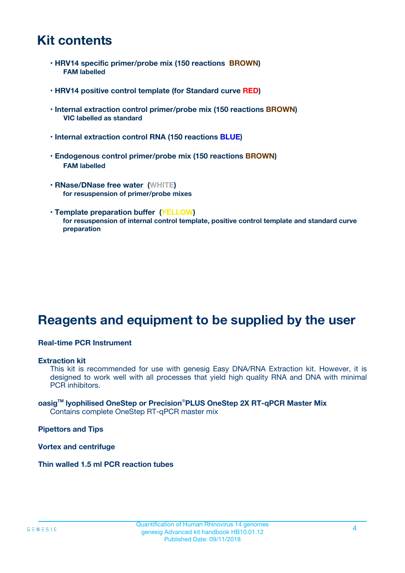# **Kit contents**

- **HRV14 specific primer/probe mix (150 reactions BROWN) FAM labelled**
- **HRV14 positive control template (for Standard curve RED)**
- **Internal extraction control primer/probe mix (150 reactions BROWN) VIC labelled as standard**
- **Internal extraction control RNA (150 reactions BLUE)**
- **Endogenous control primer/probe mix (150 reactions BROWN) FAM labelled**
- **RNase/DNase free water (WHITE) for resuspension of primer/probe mixes**
- **Template preparation buffer (YELLOW) for resuspension of internal control template, positive control template and standard curve preparation**

# **Reagents and equipment to be supplied by the user**

#### **Real-time PCR Instrument**

#### **Extraction kit**

This kit is recommended for use with genesig Easy DNA/RNA Extraction kit. However, it is designed to work well with all processes that yield high quality RNA and DNA with minimal PCR inhibitors.

#### **oasigTM lyophilised OneStep or Precision**®**PLUS OneStep 2X RT-qPCR Master Mix** Contains complete OneStep RT-qPCR master mix

**Pipettors and Tips**

**Vortex and centrifuge**

**Thin walled 1.5 ml PCR reaction tubes**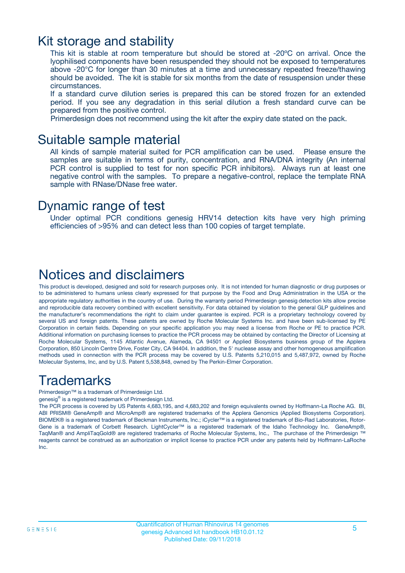## Kit storage and stability

This kit is stable at room temperature but should be stored at -20ºC on arrival. Once the lyophilised components have been resuspended they should not be exposed to temperatures above -20°C for longer than 30 minutes at a time and unnecessary repeated freeze/thawing should be avoided. The kit is stable for six months from the date of resuspension under these circumstances.

If a standard curve dilution series is prepared this can be stored frozen for an extended period. If you see any degradation in this serial dilution a fresh standard curve can be prepared from the positive control.

Primerdesign does not recommend using the kit after the expiry date stated on the pack.

### Suitable sample material

All kinds of sample material suited for PCR amplification can be used. Please ensure the samples are suitable in terms of purity, concentration, and RNA/DNA integrity (An internal PCR control is supplied to test for non specific PCR inhibitors). Always run at least one negative control with the samples. To prepare a negative-control, replace the template RNA sample with RNase/DNase free water.

### Dynamic range of test

Under optimal PCR conditions genesig HRV14 detection kits have very high priming efficiencies of >95% and can detect less than 100 copies of target template.

## Notices and disclaimers

This product is developed, designed and sold for research purposes only. It is not intended for human diagnostic or drug purposes or to be administered to humans unless clearly expressed for that purpose by the Food and Drug Administration in the USA or the appropriate regulatory authorities in the country of use. During the warranty period Primerdesign genesig detection kits allow precise and reproducible data recovery combined with excellent sensitivity. For data obtained by violation to the general GLP guidelines and the manufacturer's recommendations the right to claim under guarantee is expired. PCR is a proprietary technology covered by several US and foreign patents. These patents are owned by Roche Molecular Systems Inc. and have been sub-licensed by PE Corporation in certain fields. Depending on your specific application you may need a license from Roche or PE to practice PCR. Additional information on purchasing licenses to practice the PCR process may be obtained by contacting the Director of Licensing at Roche Molecular Systems, 1145 Atlantic Avenue, Alameda, CA 94501 or Applied Biosystems business group of the Applera Corporation, 850 Lincoln Centre Drive, Foster City, CA 94404. In addition, the 5' nuclease assay and other homogeneous amplification methods used in connection with the PCR process may be covered by U.S. Patents 5,210,015 and 5,487,972, owned by Roche Molecular Systems, Inc, and by U.S. Patent 5,538,848, owned by The Perkin-Elmer Corporation.

# Trademarks

Primerdesign™ is a trademark of Primerdesign Ltd.

genesig® is a registered trademark of Primerdesign Ltd.

The PCR process is covered by US Patents 4,683,195, and 4,683,202 and foreign equivalents owned by Hoffmann-La Roche AG. BI, ABI PRISM® GeneAmp® and MicroAmp® are registered trademarks of the Applera Genomics (Applied Biosystems Corporation). BIOMEK® is a registered trademark of Beckman Instruments, Inc.; iCycler™ is a registered trademark of Bio-Rad Laboratories, Rotor-Gene is a trademark of Corbett Research. LightCycler™ is a registered trademark of the Idaho Technology Inc. GeneAmp®, TaqMan® and AmpliTaqGold® are registered trademarks of Roche Molecular Systems, Inc., The purchase of the Primerdesign ™ reagents cannot be construed as an authorization or implicit license to practice PCR under any patents held by Hoffmann-LaRoche Inc.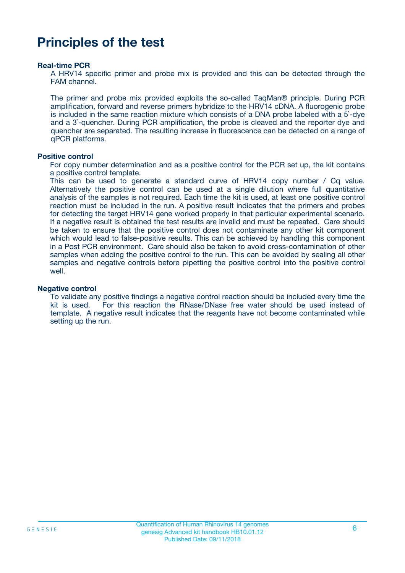# **Principles of the test**

#### **Real-time PCR**

A HRV14 specific primer and probe mix is provided and this can be detected through the FAM channel.

The primer and probe mix provided exploits the so-called TaqMan® principle. During PCR amplification, forward and reverse primers hybridize to the HRV14 cDNA. A fluorogenic probe is included in the same reaction mixture which consists of a DNA probe labeled with a 5`-dye and a 3`-quencher. During PCR amplification, the probe is cleaved and the reporter dye and quencher are separated. The resulting increase in fluorescence can be detected on a range of qPCR platforms.

#### **Positive control**

For copy number determination and as a positive control for the PCR set up, the kit contains a positive control template.

This can be used to generate a standard curve of HRV14 copy number / Cq value. Alternatively the positive control can be used at a single dilution where full quantitative analysis of the samples is not required. Each time the kit is used, at least one positive control reaction must be included in the run. A positive result indicates that the primers and probes for detecting the target HRV14 gene worked properly in that particular experimental scenario. If a negative result is obtained the test results are invalid and must be repeated. Care should be taken to ensure that the positive control does not contaminate any other kit component which would lead to false-positive results. This can be achieved by handling this component in a Post PCR environment. Care should also be taken to avoid cross-contamination of other samples when adding the positive control to the run. This can be avoided by sealing all other samples and negative controls before pipetting the positive control into the positive control well.

#### **Negative control**

To validate any positive findings a negative control reaction should be included every time the kit is used. For this reaction the RNase/DNase free water should be used instead of template. A negative result indicates that the reagents have not become contaminated while setting up the run.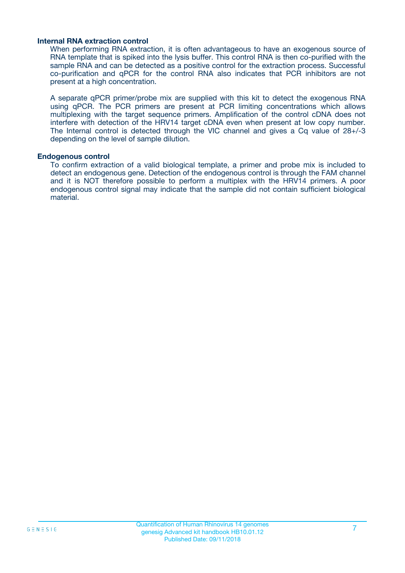#### **Internal RNA extraction control**

When performing RNA extraction, it is often advantageous to have an exogenous source of RNA template that is spiked into the lysis buffer. This control RNA is then co-purified with the sample RNA and can be detected as a positive control for the extraction process. Successful co-purification and qPCR for the control RNA also indicates that PCR inhibitors are not present at a high concentration.

A separate qPCR primer/probe mix are supplied with this kit to detect the exogenous RNA using qPCR. The PCR primers are present at PCR limiting concentrations which allows multiplexing with the target sequence primers. Amplification of the control cDNA does not interfere with detection of the HRV14 target cDNA even when present at low copy number. The Internal control is detected through the VIC channel and gives a Cq value of 28+/-3 depending on the level of sample dilution.

#### **Endogenous control**

To confirm extraction of a valid biological template, a primer and probe mix is included to detect an endogenous gene. Detection of the endogenous control is through the FAM channel and it is NOT therefore possible to perform a multiplex with the HRV14 primers. A poor endogenous control signal may indicate that the sample did not contain sufficient biological material.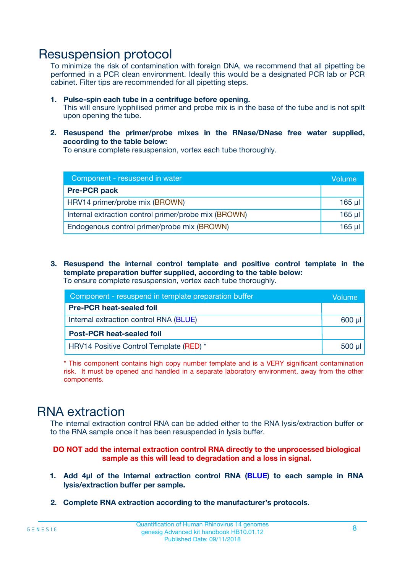## Resuspension protocol

To minimize the risk of contamination with foreign DNA, we recommend that all pipetting be performed in a PCR clean environment. Ideally this would be a designated PCR lab or PCR cabinet. Filter tips are recommended for all pipetting steps.

- **1. Pulse-spin each tube in a centrifuge before opening.** This will ensure lyophilised primer and probe mix is in the base of the tube and is not spilt upon opening the tube.
- **2. Resuspend the primer/probe mixes in the RNase/DNase free water supplied, according to the table below:**

To ensure complete resuspension, vortex each tube thoroughly.

| Component - resuspend in water                       |          |  |
|------------------------------------------------------|----------|--|
| <b>Pre-PCR pack</b>                                  |          |  |
| HRV14 primer/probe mix (BROWN)                       | $165$ µl |  |
| Internal extraction control primer/probe mix (BROWN) | $165$ µl |  |
| Endogenous control primer/probe mix (BROWN)          | 165 µl   |  |

**3. Resuspend the internal control template and positive control template in the template preparation buffer supplied, according to the table below:** To ensure complete resuspension, vortex each tube thoroughly.

| Component - resuspend in template preparation buffer |             |  |  |
|------------------------------------------------------|-------------|--|--|
| <b>Pre-PCR heat-sealed foil</b>                      |             |  |  |
| Internal extraction control RNA (BLUE)               |             |  |  |
| <b>Post-PCR heat-sealed foil</b>                     |             |  |  |
| HRV14 Positive Control Template (RED) *              | $500$ $\mu$ |  |  |

\* This component contains high copy number template and is a VERY significant contamination risk. It must be opened and handled in a separate laboratory environment, away from the other components.

# RNA extraction

The internal extraction control RNA can be added either to the RNA lysis/extraction buffer or to the RNA sample once it has been resuspended in lysis buffer.

#### **DO NOT add the internal extraction control RNA directly to the unprocessed biological sample as this will lead to degradation and a loss in signal.**

- **1. Add 4µ**l **of the Internal extraction control RNA (BLUE) to each sample in RNA lysis/extraction buffer per sample.**
- **2. Complete RNA extraction according to the manufacturer's protocols.**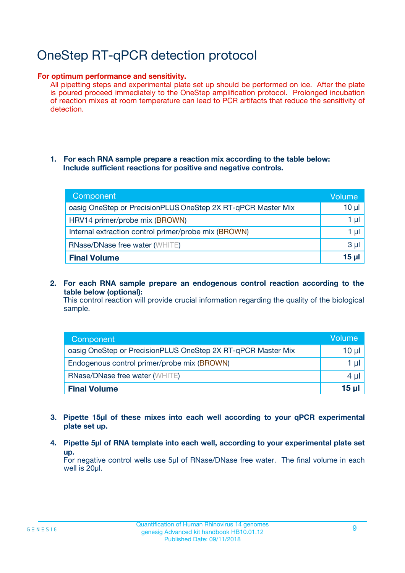# OneStep RT-qPCR detection protocol

#### **For optimum performance and sensitivity.**

All pipetting steps and experimental plate set up should be performed on ice. After the plate is poured proceed immediately to the OneStep amplification protocol. Prolonged incubation of reaction mixes at room temperature can lead to PCR artifacts that reduce the sensitivity of detection.

#### **1. For each RNA sample prepare a reaction mix according to the table below: Include sufficient reactions for positive and negative controls.**

| Component                                                    | Volume   |
|--------------------------------------------------------------|----------|
| oasig OneStep or PrecisionPLUS OneStep 2X RT-qPCR Master Mix | $10 \mu$ |
| HRV14 primer/probe mix (BROWN)                               | 1 µl     |
| Internal extraction control primer/probe mix (BROWN)         | 1 µI     |
| <b>RNase/DNase free water (WHITE)</b>                        | $3 \mu$  |
| <b>Final Volume</b>                                          | 15 ul    |

**2. For each RNA sample prepare an endogenous control reaction according to the table below (optional):**

This control reaction will provide crucial information regarding the quality of the biological sample.

| Component                                                    | Volume   |
|--------------------------------------------------------------|----------|
| oasig OneStep or PrecisionPLUS OneStep 2X RT-qPCR Master Mix | 10 $\mu$ |
| Endogenous control primer/probe mix (BROWN)                  | 1 ul     |
| <b>RNase/DNase free water (WHITE)</b>                        | $4 \mu$  |
| <b>Final Volume</b>                                          | 15 µl    |

- **3. Pipette 15µl of these mixes into each well according to your qPCR experimental plate set up.**
- **4. Pipette 5µl of RNA template into each well, according to your experimental plate set up.**

For negative control wells use 5µl of RNase/DNase free water. The final volume in each well is 20µl.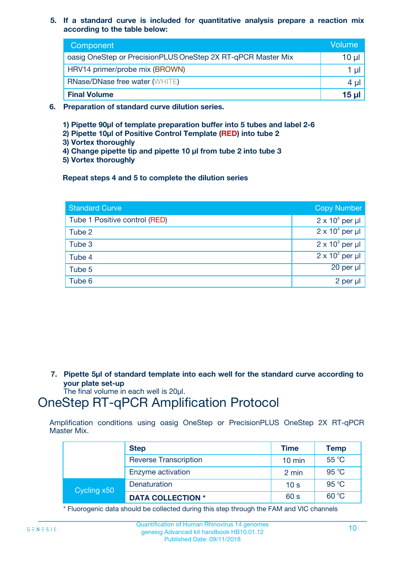**5. If a standard curve is included for quantitative analysis prepare a reaction mix according to the table below:**

| Component                                                    | Volume       |
|--------------------------------------------------------------|--------------|
| oasig OneStep or PrecisionPLUS OneStep 2X RT-qPCR Master Mix | 10 µl        |
| HRV14 primer/probe mix (BROWN)                               |              |
| <b>RNase/DNase free water (WHITE)</b>                        | 4 µl         |
| <b>Final Volume</b>                                          | <u>15 µl</u> |

- **6. Preparation of standard curve dilution series.**
	- **1) Pipette 90µl of template preparation buffer into 5 tubes and label 2-6**
	- **2) Pipette 10µl of Positive Control Template (RED) into tube 2**
	- **3) Vortex thoroughly**
	- **4) Change pipette tip and pipette 10 µl from tube 2 into tube 3**
	- **5) Vortex thoroughly**

**Repeat steps 4 and 5 to complete the dilution series**

| <b>Standard Curve</b>         | <b>Copy Number</b>     |
|-------------------------------|------------------------|
| Tube 1 Positive control (RED) | $2 \times 10^5$ per µl |
| Tube 2                        | $2 \times 10^4$ per µl |
| Tube 3                        | $2 \times 10^3$ per µl |
| Tube 4                        | $2 \times 10^2$ per µl |
| Tube 5                        | 20 per µl              |
| Tube 6                        | $2$ per $\mu$          |

**7. Pipette 5µl of standard template into each well for the standard curve according to your plate set-up**

The final volume in each well is 20µl.

# OneStep RT-qPCR Amplification Protocol

Amplification conditions using oasig OneStep or PrecisionPLUS OneStep 2X RT-qPCR Master Mix.

|             | <b>Step</b>                  | <b>Time</b>      | Temp  |
|-------------|------------------------------|------------------|-------|
|             | <b>Reverse Transcription</b> | $10 \text{ min}$ | 55 °C |
|             | Enzyme activation            | 2 min            | 95 °C |
| Cycling x50 | Denaturation                 | 10 <sub>s</sub>  | 95 °C |
|             | <b>DATA COLLECTION *</b>     | 60 s             | 60 °C |

\* Fluorogenic data should be collected during this step through the FAM and VIC channels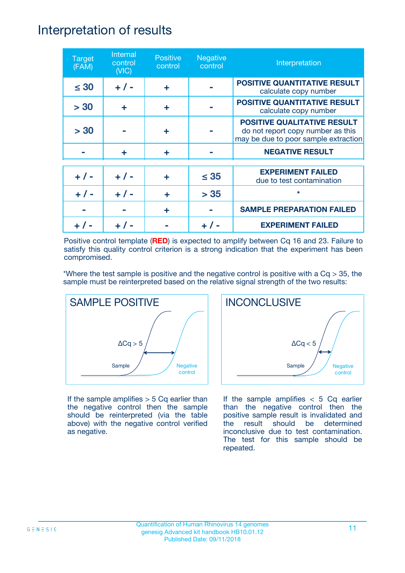## Interpretation of results

| <b>Target</b><br>(FAM) | Internal<br>control<br>(NIC) | <b>Positive</b><br>control | <b>Negative</b><br>control | Interpretation                                                                                                  |
|------------------------|------------------------------|----------------------------|----------------------------|-----------------------------------------------------------------------------------------------------------------|
| $\leq 30$              | $+ 1 -$                      | ÷                          |                            | <b>POSITIVE QUANTITATIVE RESULT</b><br>calculate copy number                                                    |
| > 30                   | ÷                            | ÷                          |                            | <b>POSITIVE QUANTITATIVE RESULT</b><br>calculate copy number                                                    |
| > 30                   |                              | ÷                          |                            | <b>POSITIVE QUALITATIVE RESULT</b><br>do not report copy number as this<br>may be due to poor sample extraction |
|                        | ÷                            | ÷                          |                            | <b>NEGATIVE RESULT</b>                                                                                          |
| $+ 1 -$                | $+ 1 -$                      | ÷                          | $\leq$ 35                  | <b>EXPERIMENT FAILED</b><br>due to test contamination                                                           |
|                        | $+$ / -                      |                            | > 35                       | $\star$                                                                                                         |
|                        |                              | ÷                          |                            | <b>SAMPLE PREPARATION FAILED</b>                                                                                |
|                        |                              |                            |                            | <b>EXPERIMENT FAILED</b>                                                                                        |

Positive control template (**RED**) is expected to amplify between Cq 16 and 23. Failure to satisfy this quality control criterion is a strong indication that the experiment has been compromised.

\*Where the test sample is positive and the negative control is positive with a  $Cq > 35$ , the sample must be reinterpreted based on the relative signal strength of the two results:



If the sample amplifies  $> 5$  Cq earlier than the negative control then the sample should be reinterpreted (via the table above) with the negative control verified as negative.



If the sample amplifies  $< 5$  Cq earlier than the negative control then the positive sample result is invalidated and the result should be determined inconclusive due to test contamination. The test for this sample should be repeated.